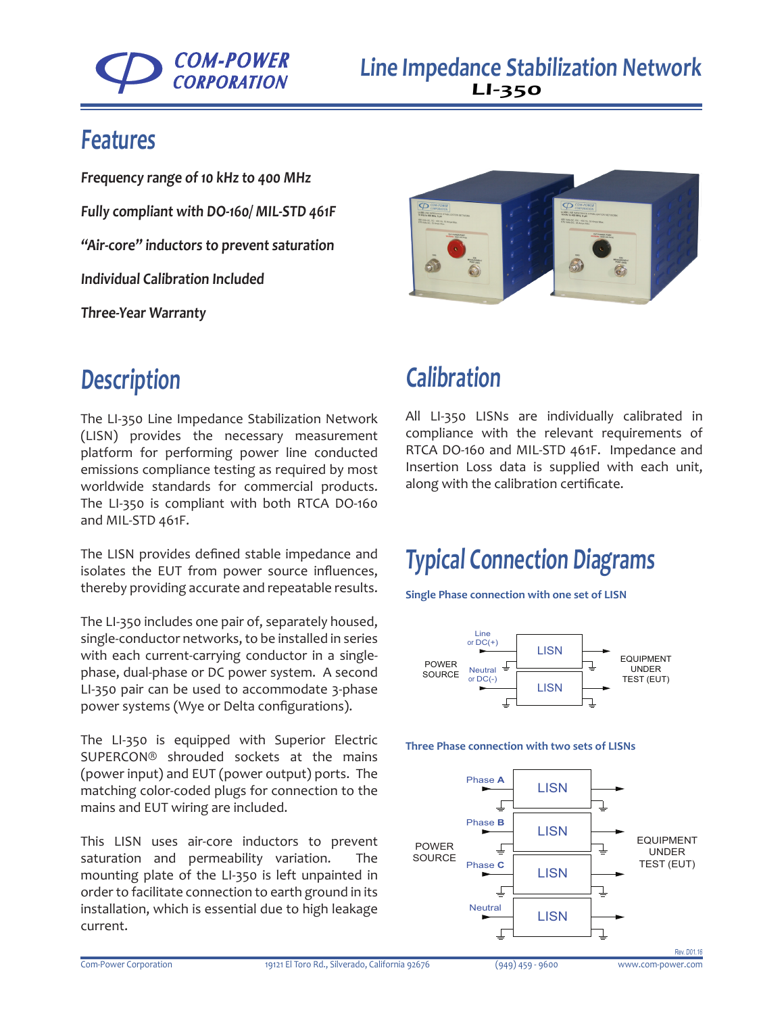

### **Features**

**Frequency range of 10 kHz to 400 MHz Fully compliant with DO-160/ MIL-STD 461F "Air-core" inductors to prevent saturation Individual Calibration Included**

**Three-Year Warranty**



### **Description**

The LI-350 Line Impedance Stabilization Network (LISN) provides the necessary measurement platform for performing power line conducted emissions compliance testing as required by most worldwide standards for commercial products. The LI-350 is compliant with both RTCA DO-160 and MIL-STD 461F.

The LISN provides defined stable impedance and isolates the EUT from power source influences, thereby providing accurate and repeatable results.

The LI-350 includes one pair of, separately housed, single-conductor networks, to be installed in series with each current-carrying conductor in a singlephase, dual-phase or DC power system. A second LI-350 pair can be used to accommodate 3-phase power systems (Wye or Delta configurations).

The LI-350 is equipped with Superior Electric SUPERCON® shrouded sockets at the mains (power input) and EUT (power output) ports. The matching color-coded plugs for connection to the mains and EUT wiring are included.

This LISN uses air-core inductors to prevent saturation and permeability variation. The mounting plate of the LI-350 is left unpainted in order to facilitate connection to earth ground in its installation, which is essential due to high leakage current.

### **Calibration**

All LI-350 LISNs are individually calibrated in compliance with the relevant requirements of RTCA DO-160 and MIL-STD 461F. Impedance and Insertion Loss data is supplied with each unit, along with the calibration certificate.

## **Typical Connection Diagrams**

**Single Phase connection with one set of LISN**



#### **Three Phase connection with two sets of LISNs**